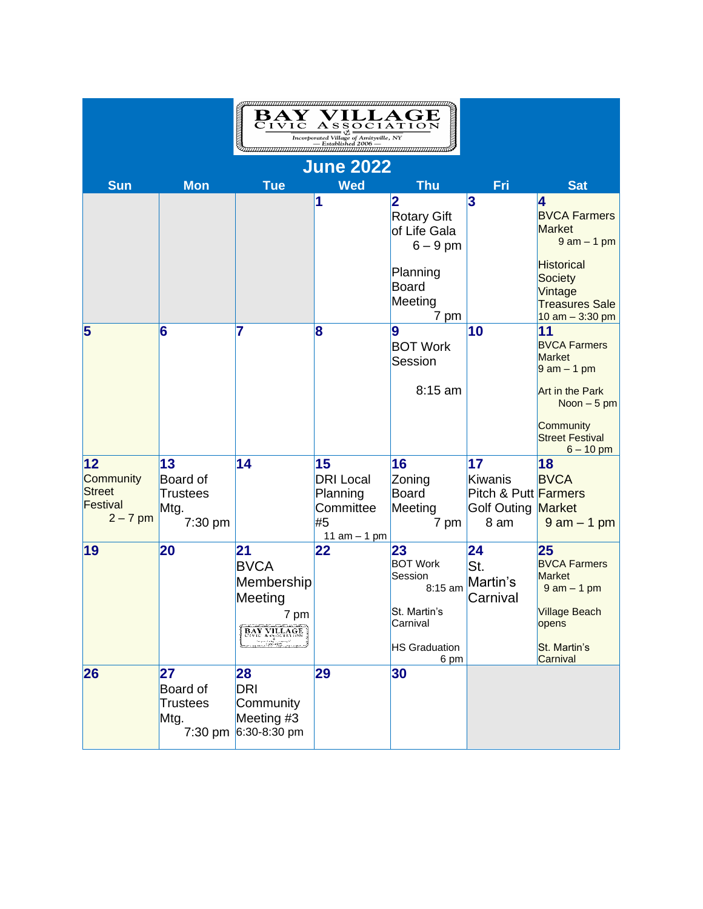|                                                                           |                                                      | CIVIC                                                                    | $\frac{\overline{1\,C\,}\overline{A\,S\,S\,O\,C\,I\,A\,T\,I\,O\,N}}{\frac{\overline{1\,loop}$<br>$\frac{1}{\overline{1\,loop}}$ $\frac{1}{\overline{1\,loop}}$ $\frac{1}{\overline{1\,loop}}$ $\frac{1}{\overline{1\,loop}}$ $\frac{1}{\overline{1\,loop}}$ $\frac{1}{\overline{1\,loop}}$ $\frac{1}{\overline{1\,loop}}$ $\frac{1}{\overline{1\,loop}}$ $\frac{1}{\overline{1\,loop}}$ $\frac{1$ |                                                                                                         |                                                                            |                                                                                                                                                                             |
|---------------------------------------------------------------------------|------------------------------------------------------|--------------------------------------------------------------------------|---------------------------------------------------------------------------------------------------------------------------------------------------------------------------------------------------------------------------------------------------------------------------------------------------------------------------------------------------------------------------------------------------|---------------------------------------------------------------------------------------------------------|----------------------------------------------------------------------------|-----------------------------------------------------------------------------------------------------------------------------------------------------------------------------|
| <b>June 2022</b>                                                          |                                                      |                                                                          |                                                                                                                                                                                                                                                                                                                                                                                                   |                                                                                                         |                                                                            |                                                                                                                                                                             |
| Sun                                                                       | <b>Mon</b>                                           | <b>Tue</b>                                                               | <b>Wed</b>                                                                                                                                                                                                                                                                                                                                                                                        | <b>Thu</b>                                                                                              | Fri                                                                        | <b>Sat</b>                                                                                                                                                                  |
|                                                                           |                                                      |                                                                          | 1                                                                                                                                                                                                                                                                                                                                                                                                 | 2<br><b>Rotary Gift</b><br>of Life Gala<br>$6 - 9$ pm<br>Planning<br>Board<br>Meeting                   | 3                                                                          | 4<br><b>BVCA Farmers</b><br><b>Market</b><br>$9$ am $-$ 1 pm<br><b>Historical</b><br><b>Society</b><br>Vintage<br><b>Treasures Sale</b>                                     |
| 5                                                                         | 6                                                    | 7                                                                        | 8                                                                                                                                                                                                                                                                                                                                                                                                 | 7 pm<br>9<br><b>BOT Work</b><br>Session<br>8:15 am                                                      | 10                                                                         | 10 $am - 3:30 pm$<br>11<br><b>BVCA Farmers</b><br><b>Market</b><br>$9$ am $-$ 1 pm<br>Art in the Park<br>Noon $-5$ pm<br>Community<br><b>Street Festival</b><br>$6 - 10$ pm |
| $12 \overline{ }$<br>Community<br><b>Street</b><br>Festival<br>$2 - 7$ pm | 13<br>Board of<br><b>Trustees</b><br>Mtg.<br>7:30 pm | 14                                                                       | 15<br><b>DRI</b> Local<br>Planning<br>Committee<br>#5<br>11 $am - 1 pm$                                                                                                                                                                                                                                                                                                                           | 16<br>Zoning<br>Board<br>Meeting<br>7 pm                                                                | 17<br>Kiwanis<br>Pitch & Putt Farmers<br><b>Golf Outing Market</b><br>8 am | 18<br><b>BVCA</b><br>$9$ am $-$ 1 pm                                                                                                                                        |
| 19                                                                        | 20                                                   | 21<br><b>BVCA</b><br>Membership<br>Meeting<br>7 pm<br><b>BAY VILLAGE</b> | 22                                                                                                                                                                                                                                                                                                                                                                                                | 23<br><b>BOT Work</b><br>Session<br>8:15 am<br>St. Martin's<br>Carnival<br><b>HS Graduation</b><br>6 pm | 24<br>St.<br>Martin's<br>Carnival                                          | 25<br><b>BVCA Farmers</b><br><b>Market</b><br>$9$ am $-$ 1 pm<br><b>Village Beach</b><br>opens<br>St. Martin's<br>Carnival                                                  |
| 26                                                                        | 27<br>Board of<br><b>Trustees</b><br>Mtg.<br>7:30 pm | 28<br>DRI<br>Community<br>Meeting #3<br>6:30-8:30 pm                     | 29                                                                                                                                                                                                                                                                                                                                                                                                | 30                                                                                                      |                                                                            |                                                                                                                                                                             |